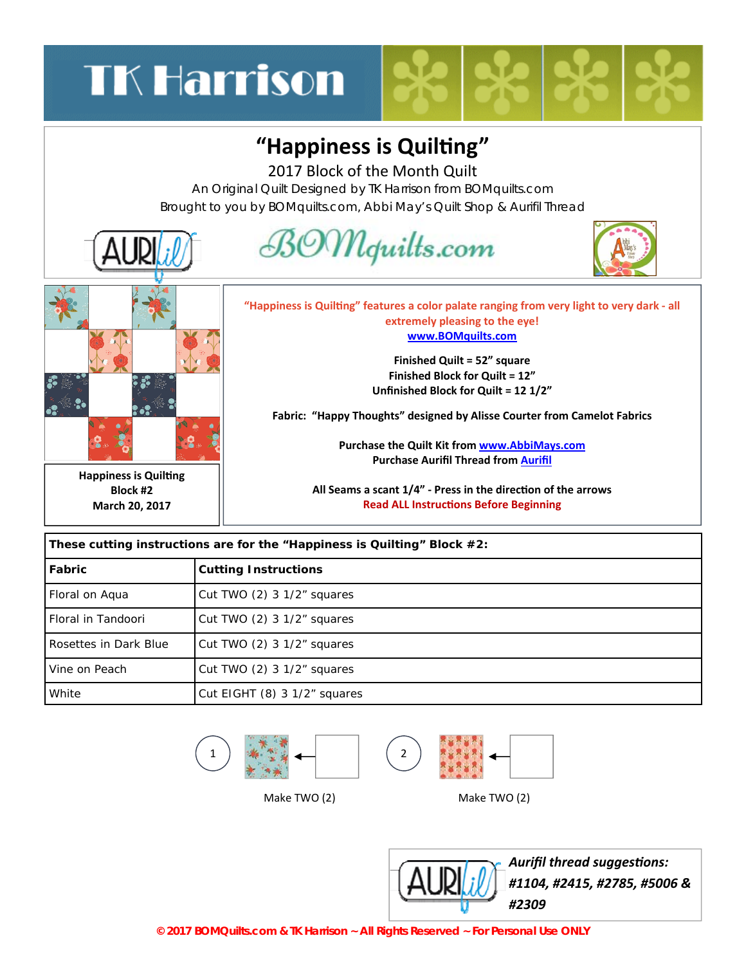# **TK Harrison**

#### "Happiness is Quilting"

2017 Block of the Month Quilt

An Original Quilt Designed by TK Harrison from BOMquilts.com Brought to you by BOMquilts.com, Abbi May's Quilt Shop & Aurifil Thread



| These cutting instructions are for the "Happiness is Quilting" Block $#2$ : |                              |
|-----------------------------------------------------------------------------|------------------------------|
| Fabric                                                                      | <b>Cutting Instructions</b>  |
| Floral on Aqua                                                              | Cut TWO $(2)$ 3 1/2" squares |
| Floral in Tandoori                                                          | Cut TWO $(2)$ 3 1/2" squares |
| Rosettes in Dark Blue                                                       | Cut TWO $(2)$ 3 1/2" squares |
| Vine on Peach                                                               | Cut TWO $(2)$ 3 1/2" squares |
| White                                                                       | Cut EIGHT (8) 3 1/2" squares |





Make TWO (2) Make TWO (2)



*Aurifil thread suggesƟons: #1104, #2415, #2785, #5006 & #2309*